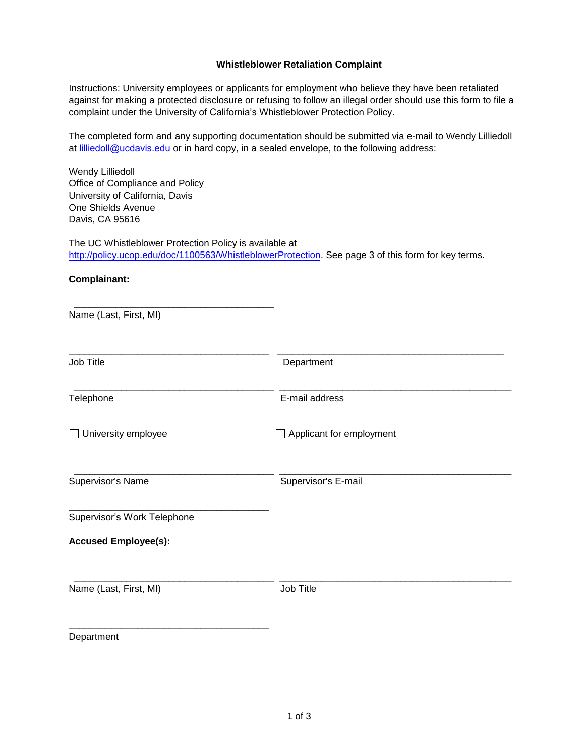## **Whistleblower Retaliation Complaint**

Instructions: University employees or applicants for employment who believe they have been retaliated against for making a protected disclosure or refusing to follow an illegal order should use this form to file a complaint under the University of California's Whistleblower Protection Policy.

The completed form and any supporting documentation should be submitted via e-mail to Wendy Lilliedoll at [lilliedoll@ucdavis.edu](mailto:wjdelmendo@ucdavis.edu) or in hard copy, in a sealed envelope, to the following address:

Wendy Lilliedoll Office of Compliance and Policy University of California, Davis One Shields Avenue Davis, CA 95616

\_\_\_\_\_\_\_\_\_\_\_\_\_\_\_\_\_\_\_\_\_\_\_\_\_\_\_\_\_\_\_\_\_\_\_\_\_\_

The UC Whistleblower Protection Policy is available at [http://policy.ucop.edu/doc/1100563/WhistleblowerProtection.](http://policy.ucop.edu/doc/1100563/WhistleblowerProtection) See page 3 of this form for key terms.

**Complainant:** 

| Name (Last, First, MI)      |                          |  |
|-----------------------------|--------------------------|--|
| Job Title                   | Department               |  |
| Telephone                   | E-mail address           |  |
| $\Box$ University employee  | Applicant for employment |  |
| Supervisor's Name           | Supervisor's E-mail      |  |
| Supervisor's Work Telephone |                          |  |
| <b>Accused Employee(s):</b> |                          |  |
| Name (Last, First, MI)      | Job Title                |  |
| Department                  |                          |  |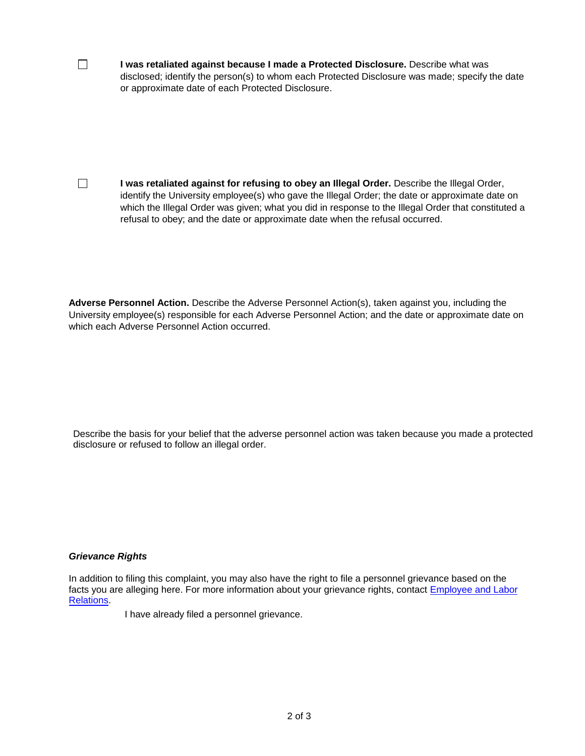**I was retaliated against because I made a Protected Disclosure.** Describe what was disclosed; identify the person(s) to whom each Protected Disclosure was made; specify the date or approximate date of each Protected Disclosure.

**I was retaliated against for refusing to obey an Illegal Order.** Describe the Illegal Order, identify the University employee(s) who gave the Illegal Order; the date or approximate date on which the Illegal Order was given; what you did in response to the Illegal Order that constituted a refusal to obey; and the date or approximate date when the refusal occurred.

**Adverse Personnel Action.** Describe the Adverse Personnel Action(s), taken against you, including the University employee(s) responsible for each Adverse Personnel Action; and the date or approximate date on which each Adverse Personnel Action occurred.

Describe the basis for your belief that the adverse personnel action was taken because you made a protected disclosure or refused to follow an illegal order.

## *Grievance Rights*

 $\Box$ 

 $\Box$ 

[In addition](http://www.hr.ucdavis.edu/Elr/index.html) to filing this complaint, you may also have the right to file a personne[l grievance based](http://www.hr.ucdavis.edu/Elr/index.html) on the facts you are alleging here. For more information about your grievance rights, contact Employee and Labor Relations.

I have already filed a personnel grievance.